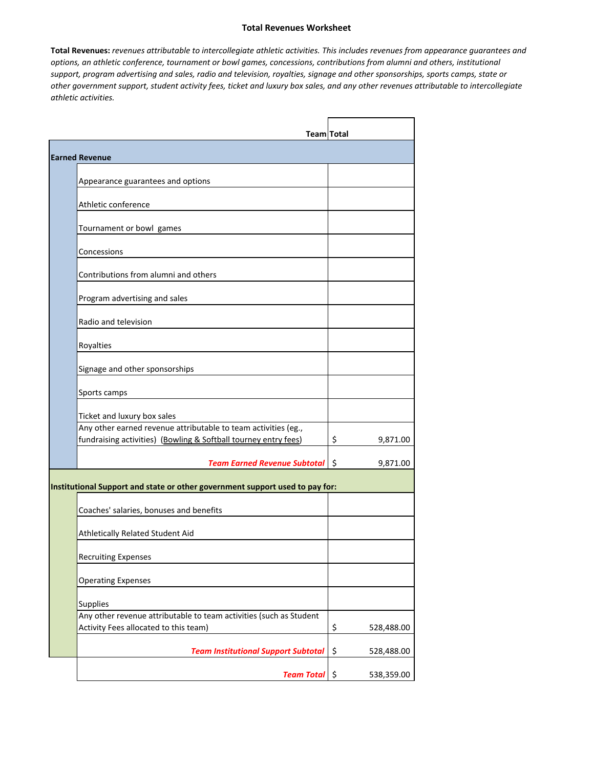#### **Total Revenues Worksheet**

Total Revenues: revenues attributable to intercollegiate athletic activities. This includes revenues from appearance guarantees and options, an athletic conference, tournament or bowl games, concessions, contributions from alumni and others, institutional support, program advertising and sales, radio and television, royalties, signage and other sponsorships, sports camps, state or other government support, student activity fees, ticket and luxury box sales, and any other revenues attributable to intercollegiate *athletic activities.*

|                                                                                                                                   | <b>TeamlTotal</b> |            |
|-----------------------------------------------------------------------------------------------------------------------------------|-------------------|------------|
| <b>Earned Revenue</b>                                                                                                             |                   |            |
| Appearance guarantees and options                                                                                                 |                   |            |
| Athletic conference                                                                                                               |                   |            |
| Tournament or bowl games                                                                                                          |                   |            |
| Concessions                                                                                                                       |                   |            |
| Contributions from alumni and others                                                                                              |                   |            |
| Program advertising and sales                                                                                                     |                   |            |
| Radio and television                                                                                                              |                   |            |
| Royalties                                                                                                                         |                   |            |
| Signage and other sponsorships                                                                                                    |                   |            |
| Sports camps                                                                                                                      |                   |            |
| Ticket and luxury box sales                                                                                                       |                   |            |
| Any other earned revenue attributable to team activities (eg.,<br>fundraising activities) (Bowling & Softball tourney entry fees) | \$                | 9,871.00   |
| <b>Team Earned Revenue Subtotal</b>                                                                                               | \$                | 9,871.00   |
| Institutional Support and state or other government support used to pay for:                                                      |                   |            |
| Coaches' salaries, bonuses and benefits                                                                                           |                   |            |
| Athletically Related Student Aid                                                                                                  |                   |            |
| <b>Recruiting Expenses</b>                                                                                                        |                   |            |
| <b>Operating Expenses</b>                                                                                                         |                   |            |
| Supplies                                                                                                                          |                   |            |
| Any other revenue attributable to team activities (such as Student<br>Activity Fees allocated to this team)                       | \$                | 528,488.00 |
| <b>Team Institutional Support Subtotal</b>                                                                                        | \$                | 528,488.00 |
| <b>Team Total</b>                                                                                                                 | \$                | 538,359.00 |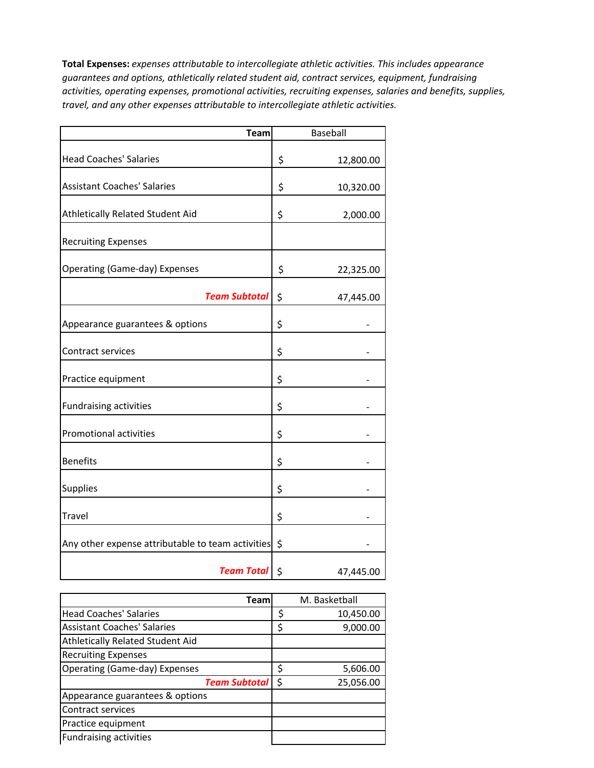**Total Expenses:** *expenses attributable to intercollegiate athletic activities. This includes appearance guarantees and options, athletically related student aid, contract services, equipment, fundraising activities, operating expenses, promotional activities, recruiting expenses, salaries and benefits, supplies, travel, and any other expenses attributable to intercollegiate athletic activities.*

| <b>Team</b>                                       | <b>Baseball</b> |
|---------------------------------------------------|-----------------|
| <b>Head Coaches' Salaries</b>                     | \$<br>12,800.00 |
| <b>Assistant Coaches' Salaries</b>                | \$<br>10,320.00 |
| Athletically Related Student Aid                  | \$<br>2,000.00  |
| <b>Recruiting Expenses</b>                        |                 |
| <b>Operating (Game-day) Expenses</b>              | \$<br>22,325.00 |
| <b>Team Subtotal</b>                              | \$<br>47,445.00 |
| Appearance guarantees & options                   | \$              |
| Contract services                                 | \$              |
| Practice equipment                                | \$              |
| <b>Fundraising activities</b>                     | \$              |
| <b>Promotional activities</b>                     | \$              |
| <b>Benefits</b>                                   | \$              |
| Supplies                                          | \$              |
| <b>Travel</b>                                     | \$              |
| Any other expense attributable to team activities | \$              |
| <b>Team Total</b>                                 | \$<br>47,445.00 |

| Team                               | M. Basketball   |
|------------------------------------|-----------------|
|                                    |                 |
| <b>Head Coaches' Salaries</b>      | 10,450.00       |
| <b>Assistant Coaches' Salaries</b> | \$<br>9,000.00  |
| Athletically Related Student Aid   |                 |
| <b>Recruiting Expenses</b>         |                 |
| Operating (Game-day) Expenses      | \$<br>5,606.00  |
| <b>Team Subtotal</b>               | \$<br>25,056.00 |
| Appearance guarantees & options    |                 |
| Contract services                  |                 |
| Practice equipment                 |                 |
| <b>Fundraising activities</b>      |                 |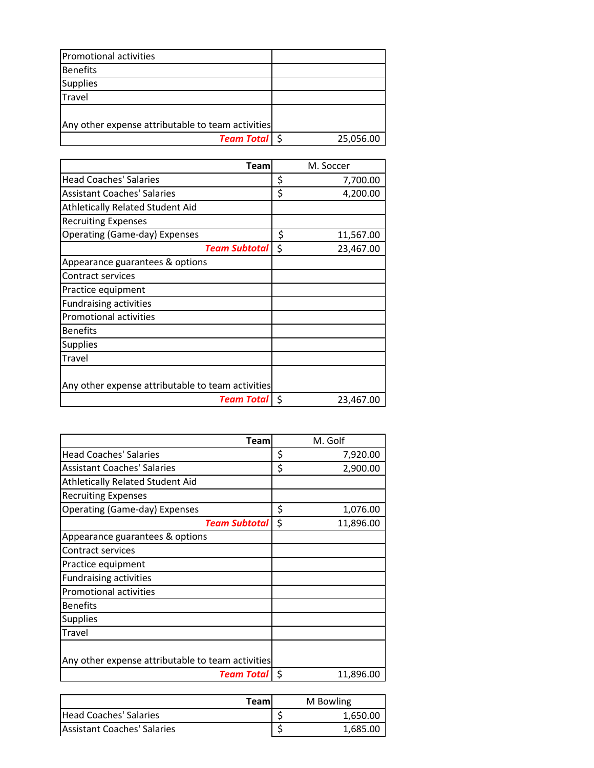| <b>Promotional activities</b>                     |           |
|---------------------------------------------------|-----------|
| <b>Benefits</b>                                   |           |
| <b>Supplies</b>                                   |           |
| Travel                                            |           |
| Any other expense attributable to team activities |           |
| <b>Team Total</b>                                 | 25,056.00 |

| Team                                              | M. Soccer       |
|---------------------------------------------------|-----------------|
| <b>Head Coaches' Salaries</b>                     | \$<br>7,700.00  |
| <b>Assistant Coaches' Salaries</b>                | \$<br>4,200.00  |
| Athletically Related Student Aid                  |                 |
| <b>Recruiting Expenses</b>                        |                 |
| <b>Operating (Game-day) Expenses</b>              | \$<br>11,567.00 |
| <b>Team Subtotal</b>                              | \$<br>23,467.00 |
| Appearance guarantees & options                   |                 |
| Contract services                                 |                 |
| Practice equipment                                |                 |
| <b>Fundraising activities</b>                     |                 |
| <b>Promotional activities</b>                     |                 |
| <b>Benefits</b>                                   |                 |
| <b>Supplies</b>                                   |                 |
| Travel                                            |                 |
|                                                   |                 |
| Any other expense attributable to team activities |                 |
| Team Total I                                      | \$<br>23,467.00 |

| Team                                              | M. Golf         |
|---------------------------------------------------|-----------------|
| <b>Head Coaches' Salaries</b>                     | \$<br>7,920.00  |
| <b>Assistant Coaches' Salaries</b>                | \$<br>2,900.00  |
| <b>Athletically Related Student Aid</b>           |                 |
| <b>Recruiting Expenses</b>                        |                 |
| Operating (Game-day) Expenses                     | \$<br>1,076.00  |
| <b>Team Subtotal</b>                              | \$<br>11,896.00 |
| Appearance guarantees & options                   |                 |
| Contract services                                 |                 |
| Practice equipment                                |                 |
| <b>Fundraising activities</b>                     |                 |
| <b>Promotional activities</b>                     |                 |
| <b>Benefits</b>                                   |                 |
| <b>Supplies</b>                                   |                 |
| Travel                                            |                 |
| Any other expense attributable to team activities |                 |
| <b>Team Total</b>                                 | \$<br>11,896.00 |

|                               | <b>Teaml</b> | M Bowling |          |
|-------------------------------|--------------|-----------|----------|
| <b>Head Coaches' Salaries</b> |              |           | 1.650.00 |
| Assistant Coaches' Salaries   |              |           | 1,685.00 |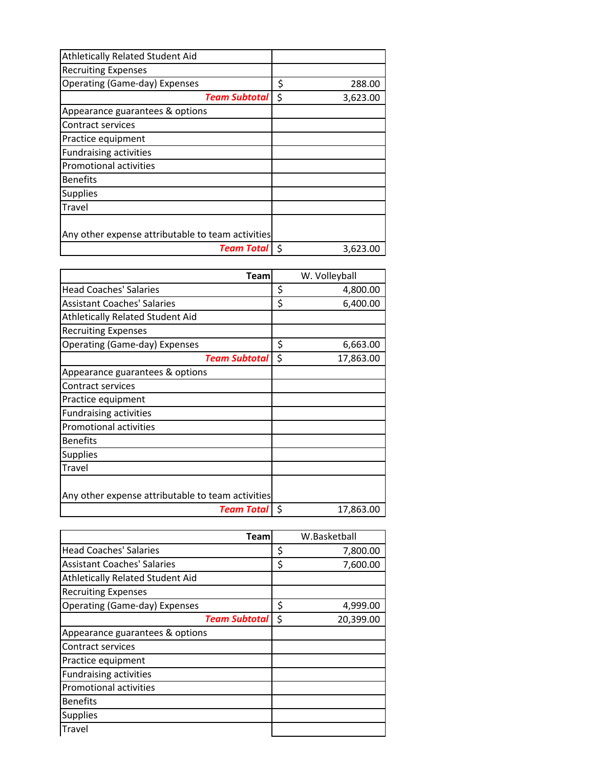| Athletically Related Student Aid                  |                |
|---------------------------------------------------|----------------|
| <b>Recruiting Expenses</b>                        |                |
| Operating (Game-day) Expenses                     | \$<br>288.00   |
| <b>Team Subtotal</b>                              | \$<br>3,623.00 |
| Appearance guarantees & options                   |                |
| <b>Contract services</b>                          |                |
| Practice equipment                                |                |
| <b>Fundraising activities</b>                     |                |
| <b>Promotional activities</b>                     |                |
| <b>Benefits</b>                                   |                |
| <b>Supplies</b>                                   |                |
| Travel                                            |                |
|                                                   |                |
| Any other expense attributable to team activities |                |
| Team Total                                        | \$<br>3.623.00 |

| Team                                              |    | W. Volleyball |
|---------------------------------------------------|----|---------------|
| <b>Head Coaches' Salaries</b>                     | \$ | 4,800.00      |
| <b>Assistant Coaches' Salaries</b>                | \$ | 6,400.00      |
| Athletically Related Student Aid                  |    |               |
| <b>Recruiting Expenses</b>                        |    |               |
| <b>Operating (Game-day) Expenses</b>              | \$ | 6,663.00      |
| <b>Team Subtotal</b>                              | \$ | 17,863.00     |
| Appearance guarantees & options                   |    |               |
| <b>Contract services</b>                          |    |               |
| Practice equipment                                |    |               |
| <b>Fundraising activities</b>                     |    |               |
| <b>Promotional activities</b>                     |    |               |
| <b>Benefits</b>                                   |    |               |
| <b>Supplies</b>                                   |    |               |
| Travel                                            |    |               |
| Any other expense attributable to team activities |    |               |
| <b>Team Total</b>                                 | Ś. | 17,863.00     |

| Team                                 | W.Basketball    |
|--------------------------------------|-----------------|
| <b>Head Coaches' Salaries</b>        | \$<br>7,800.00  |
| <b>Assistant Coaches' Salaries</b>   | \$<br>7,600.00  |
| Athletically Related Student Aid     |                 |
| <b>Recruiting Expenses</b>           |                 |
| <b>Operating (Game-day) Expenses</b> | \$<br>4,999.00  |
| <b>Team Subtotal</b>                 | \$<br>20,399.00 |
| Appearance guarantees & options      |                 |
| Contract services                    |                 |
| Practice equipment                   |                 |
| <b>Fundraising activities</b>        |                 |
| <b>Promotional activities</b>        |                 |
| <b>Benefits</b>                      |                 |
| <b>Supplies</b>                      |                 |
| Travel                               |                 |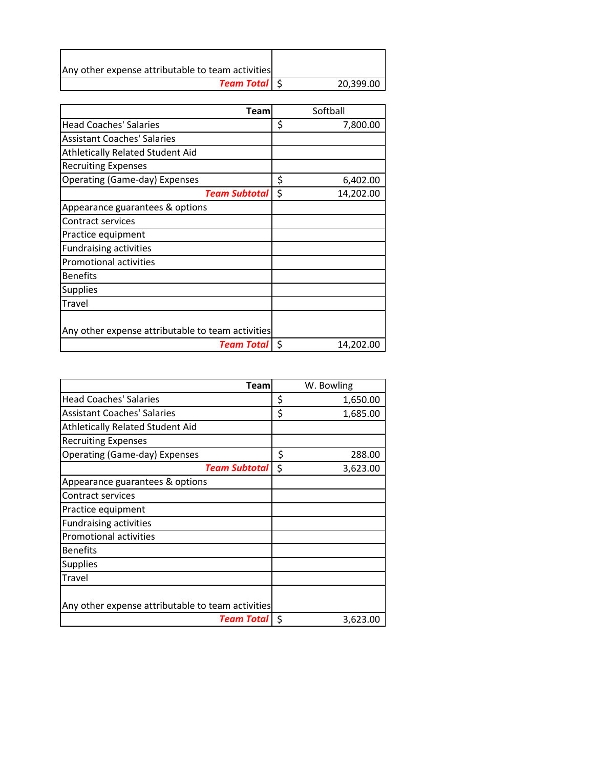| Any other expense attributable to team activities |           |
|---------------------------------------------------|-----------|
| Team Total   \$                                   | 20,399.00 |

| Team                                              | Softball        |
|---------------------------------------------------|-----------------|
| <b>Head Coaches' Salaries</b>                     | \$<br>7,800.00  |
| <b>Assistant Coaches' Salaries</b>                |                 |
| Athletically Related Student Aid                  |                 |
| <b>Recruiting Expenses</b>                        |                 |
| <b>Operating (Game-day) Expenses</b>              | \$<br>6,402.00  |
| Team Subtotal                                     | \$<br>14,202.00 |
| Appearance guarantees & options                   |                 |
| Contract services                                 |                 |
| Practice equipment                                |                 |
| <b>Fundraising activities</b>                     |                 |
| <b>Promotional activities</b>                     |                 |
| <b>Benefits</b>                                   |                 |
| <b>Supplies</b>                                   |                 |
| Travel                                            |                 |
| Any other expense attributable to team activities |                 |
| Team Total                                        | \$<br>14,202.00 |

| Team                                              | W. Bowling     |
|---------------------------------------------------|----------------|
| <b>Head Coaches' Salaries</b>                     | \$<br>1,650.00 |
| <b>Assistant Coaches' Salaries</b>                | \$<br>1,685.00 |
| Athletically Related Student Aid                  |                |
| <b>Recruiting Expenses</b>                        |                |
| <b>Operating (Game-day) Expenses</b>              | \$<br>288.00   |
| <b>Team Subtotal</b>                              | \$<br>3,623.00 |
| Appearance guarantees & options                   |                |
| Contract services                                 |                |
| Practice equipment                                |                |
| <b>Fundraising activities</b>                     |                |
| <b>Promotional activities</b>                     |                |
| <b>Benefits</b>                                   |                |
| <b>Supplies</b>                                   |                |
| Travel                                            |                |
| Any other expense attributable to team activities |                |
| <b>Team Total</b>                                 | \$<br>3,623.00 |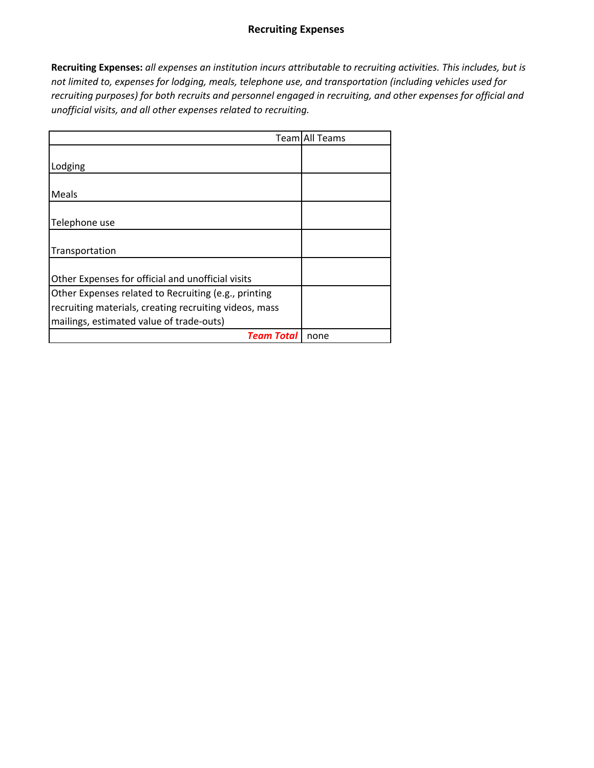#### **Recruiting Expenses**

**Recruiting Expenses:** *all expenses an institution incurs attributable to recruiting activities. This includes, but is not limited to, expenses for lodging, meals, telephone use, and transportation (including vehicles used for recruiting purposes) for both recruits and personnel engaged in recruiting, and other expenses for official and unofficial visits, and all other expenses related to recruiting.*

|                                                        | Team All Teams |
|--------------------------------------------------------|----------------|
|                                                        |                |
| Lodging                                                |                |
|                                                        |                |
| Meals                                                  |                |
|                                                        |                |
| Telephone use                                          |                |
|                                                        |                |
| Transportation                                         |                |
|                                                        |                |
| Other Expenses for official and unofficial visits      |                |
| Other Expenses related to Recruiting (e.g., printing   |                |
| recruiting materials, creating recruiting videos, mass |                |
| mailings, estimated value of trade-outs)               |                |
| Team Total                                             | none           |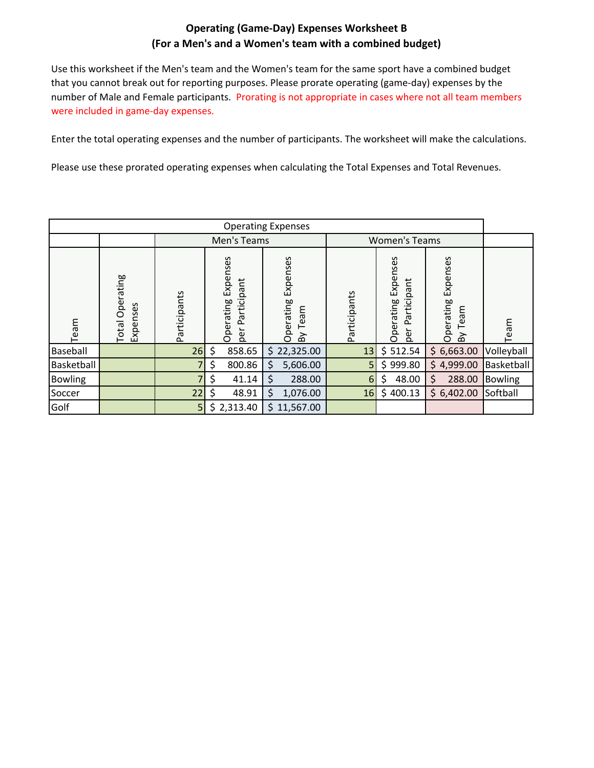## **Operating (Game‐Day) Expenses Worksheet B (For a Men's and a Women's team with a combined budget)**

Use this worksheet if the Men's team and the Women's team for the same sport have a combined budget that you cannot break out for reporting purposes. Please prorate operating (game‐day) expenses by the number of Male and Female participants. Prorating is not appropriate in cases where not all team members were included in game‐day expenses.

Enter the total operating expenses and the number of participants. The worksheet will make the calculations.

Please use these prorated operating expenses when calculating the Total Expenses and Total Revenues.

|                |                                    |              |                                             | <b>Operating Expenses</b>           |              |                                             |                                     |                |
|----------------|------------------------------------|--------------|---------------------------------------------|-------------------------------------|--------------|---------------------------------------------|-------------------------------------|----------------|
|                |                                    |              | Men's Teams                                 |                                     |              | <b>Women's Teams</b>                        |                                     |                |
| Team           | <b>Total Operating</b><br>Expenses | Participants | Expenses<br>Participant<br>Operating<br>per | Expenses<br>Operating<br>Team<br>Βy | Participants | Expenses<br>Participant<br>Operating<br>per | Expenses<br>Operating<br>Team<br>Βy | Team           |
| Baseball       |                                    | 26           | \$<br>858.65                                | \$22,325.00                         | 13           | \$512.54                                    | \$6,663.00                          | Volleyball     |
| Basketball     |                                    | 7            | \$<br>800.86                                | 5,606.00<br>S                       | 5            | 999.80<br>\$                                | \$4,999.00                          | Basketball     |
| <b>Bowling</b> |                                    | 7            | \$<br>41.14                                 | \$<br>288.00                        | 6            | 48.00<br>\$                                 | \$<br>288.00                        | <b>Bowling</b> |
| Soccer         |                                    | 22           | \$<br>48.91                                 | \$<br>1,076.00                      | 16           | \$400.13                                    | \$6,402.00                          | Softball       |
| Golf           |                                    | 5            | \$2,313.40                                  | 11,567.00<br>S.                     |              |                                             |                                     |                |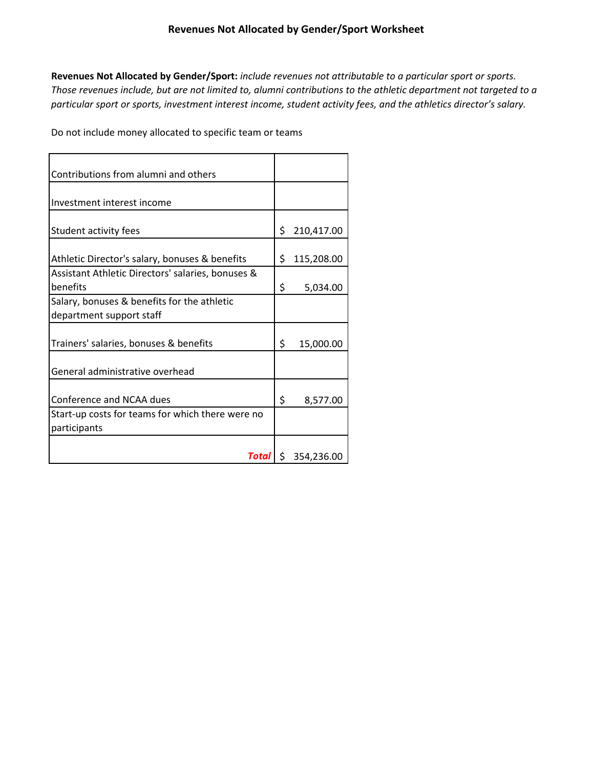**Revenues Not Allocated by Gender/Sport:** *include revenues not attributable to a particular sport or sports. Those revenues include, but are not limited to, alumni contributions to the athletic department not targeted to a particular sport or sports, investment interest income, student activity fees, and the athletics director's salary.* 

Do not include money allocated to specific team or teams

| Contributions from alumni and others                                    |                                        |
|-------------------------------------------------------------------------|----------------------------------------|
| Investment interest income                                              |                                        |
| Student activity fees                                                   | \$<br>210,417.00                       |
| Athletic Director's salary, bonuses & benefits                          | \$<br>115,208.00                       |
| Assistant Athletic Directors' salaries, bonuses &<br>benefits           | \$<br>5,034.00                         |
| Salary, bonuses & benefits for the athletic<br>department support staff |                                        |
| Trainers' salaries, bonuses & benefits                                  | \$<br>15,000.00                        |
| General administrative overhead                                         |                                        |
| Conference and NCAA dues                                                | \$<br>8,577.00                         |
| Start-up costs for teams for which there were no<br>participants        |                                        |
|                                                                         | <b>Total</b> $\binom{5}{9}$ 354,236.00 |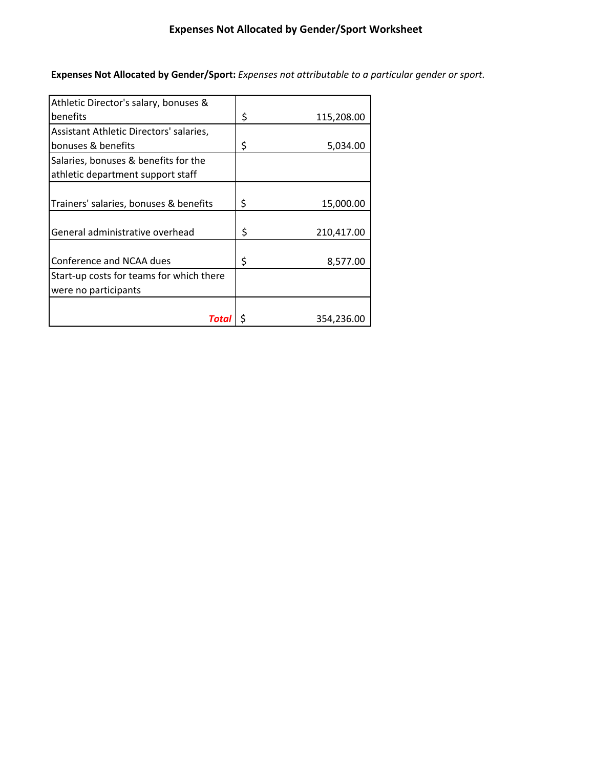**Expenses Not Allocated by Gender/Sport:** *Expenses not attributable to a particular gender or sport.*

| Athletic Director's salary, bonuses &    |                  |
|------------------------------------------|------------------|
| benefits                                 | \$<br>115,208.00 |
| Assistant Athletic Directors' salaries,  |                  |
| bonuses & benefits                       | \$<br>5,034.00   |
| Salaries, bonuses & benefits for the     |                  |
| athletic department support staff        |                  |
|                                          |                  |
| Trainers' salaries, bonuses & benefits   | \$<br>15,000.00  |
|                                          |                  |
| General administrative overhead          | \$<br>210,417.00 |
|                                          |                  |
| Conference and NCAA dues                 | \$<br>8,577.00   |
| Start-up costs for teams for which there |                  |
| were no participants                     |                  |
|                                          |                  |
| Tota                                     | 354,236.00       |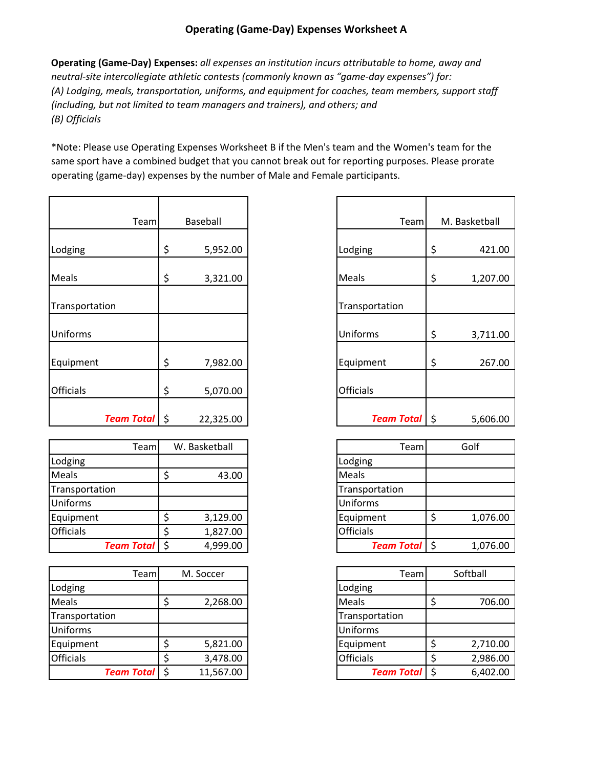### **Operating (Game‐Day) Expenses Worksheet A**

**Operating (Game‐Day) Expenses:** *all expenses an institution incurs attributable to home, away and neutral‐site intercollegiate athletic contests (commonly known as "game‐day expenses") for: (A) Lodging, meals, transportation, uniforms, and equipment for coaches, team members, support staff (including, but not limited to team managers and trainers), and others; and (B) Officials*

\*Note: Please use Operating Expenses Worksheet B if the Men's team and the Women's team for the same sport have a combined budget that you cannot break out for reporting purposes. Please prorate operating (game‐day) expenses by the number of Male and Female participants.

| Team             | Baseball       | Team             | M. Basketball  |
|------------------|----------------|------------------|----------------|
|                  |                |                  |                |
| Lodging          | \$<br>5,952.00 | Lodging          | \$             |
| Meals            | \$<br>3,321.00 | Meals            | \$<br>1,207.00 |
| Transportation   |                | Transportation   |                |
| Uniforms         |                | Uniforms         | \$<br>3,711.00 |
| Equipment        | \$<br>7,982.00 | Equipment        | \$             |
| <b>Officials</b> | \$<br>5,070.00 | <b>Officials</b> |                |
| Team Total   \$  | 22,325.00      | Team Total   \$  | 5,606.00       |

|                  | Teaml               | W. Basketball |
|------------------|---------------------|---------------|
| Lodging          |                     |               |
| <b>Meals</b>     |                     | 43.00         |
| Transportation   |                     |               |
| <b>Uniforms</b>  |                     |               |
| Equipment        |                     | 3,129.00      |
| <b>Officials</b> |                     | 1,827.00      |
|                  | <b>Team Total</b> S | 4,999.00      |

|                  | Teaml                | M. Soccer |
|------------------|----------------------|-----------|
| Lodging          |                      |           |
| <b>Meals</b>     |                      | 2,268.00  |
| Transportation   |                      |           |
| <b>Uniforms</b>  |                      |           |
| Equipment        |                      | 5,821.00  |
| <b>Officials</b> |                      | 3,478.00  |
|                  | <b>Team Total</b> \$ | 11,567.00 |

| Team            | Baseball       | Team              | M. Basketball  |
|-----------------|----------------|-------------------|----------------|
|                 | \$<br>5,952.00 | Lodging           | \$<br>421.00   |
|                 | \$<br>3,321.00 | Meals             | \$<br>1,207.00 |
| on              |                | Transportation    |                |
|                 |                | Uniforms          | \$<br>3,711.00 |
|                 | \$<br>7,982.00 | Equipment         | \$<br>267.00   |
|                 | \$<br>5,070.00 | <b>Officials</b>  |                |
| Team Total   \$ | 22,325.00      | <b>Team Total</b> | \$<br>5,606.00 |

| Team         | W. Basketball | Team                | Golf     |
|--------------|---------------|---------------------|----------|
|              |               | Lodging             |          |
|              | 43.00         | <b>Meals</b>        |          |
| on           |               | Transportation      |          |
|              |               | Uniforms            |          |
|              | 3,129.00      | Equipment           | 1,076.00 |
|              | 1,827.00      | <b>Officials</b>    |          |
| Team Total S | 4,999.00      | <b>Team Total</b> S | 1,076.00 |

| Team                | M. Soccer | Teaml                | Softball |
|---------------------|-----------|----------------------|----------|
|                     |           | Lodging              |          |
|                     | 2,268.00  | <b>Meals</b>         | 706.00   |
| on                  |           | Transportation       |          |
|                     |           | <b>Uniforms</b>      |          |
|                     | 5,821.00  | Equipment            | 2,710.00 |
|                     | 3,478.00  | <b>Officials</b>     | 2,986.00 |
| <b>Team Total</b> S | 11,567.00 | <b>Team Total</b> \$ | 6,402.00 |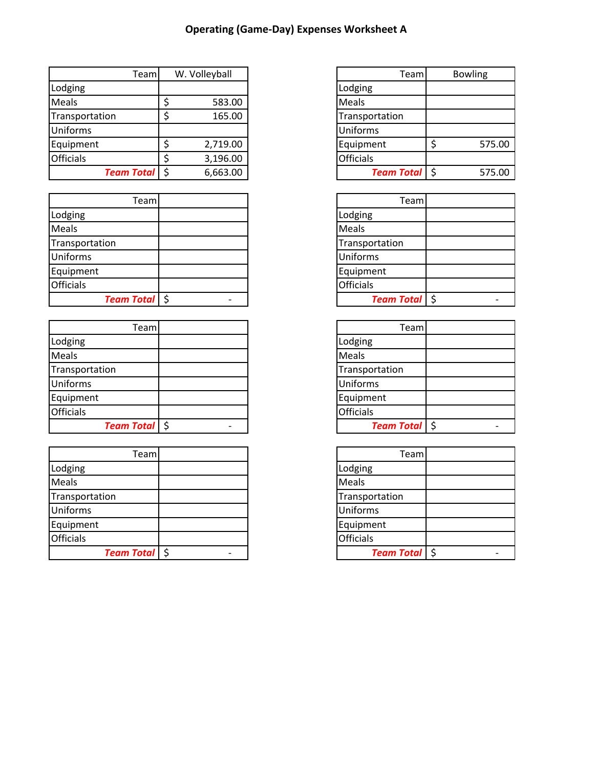# **Operating (Game‐Day) Expenses Worksheet A**

|                  | Teaml                | W. Volleyball |
|------------------|----------------------|---------------|
| Lodging          |                      |               |
| <b>Meals</b>     |                      | 583.00        |
| Transportation   |                      | 165.00        |
| <b>Uniforms</b>  |                      |               |
| Equipment        |                      | 2,719.00      |
| <b>Officials</b> |                      | 3,196.00      |
|                  | <b>Team Total</b> \$ | 6,663.00      |

| Teaml                |  | Team              |
|----------------------|--|-------------------|
| Lodging              |  | Lodging           |
| <b>Meals</b>         |  | Meals             |
| Transportation       |  | Transportation    |
| Uniforms             |  | Uniforms          |
| Equipment            |  | Equipment         |
| <b>Officials</b>     |  | <b>Officials</b>  |
| <b>Team Total</b> \$ |  | <b>Team Total</b> |

| Teaml             |  | Team              |
|-------------------|--|-------------------|
| Lodging           |  | Lodging           |
| <b>Meals</b>      |  | Meals             |
| Transportation    |  | Transportation    |
| <b>Uniforms</b>   |  | Uniforms          |
| Equipment         |  | Equipment         |
| <b>Officials</b>  |  | <b>Officials</b>  |
| <b>Team Total</b> |  | <b>Team Total</b> |

| Teaml               |  | Team              |
|---------------------|--|-------------------|
| Lodging             |  | Lodging           |
| Meals               |  | Meals             |
| Transportation      |  | Transportation    |
| Uniforms            |  | Uniforms          |
| Equipment           |  | Equipment         |
| <b>Officials</b>    |  | <b>Officials</b>  |
| <b>Team Total</b> S |  | <b>Team Total</b> |

| Team            | W. Volleyball | Teaml               | <b>Bowling</b> |
|-----------------|---------------|---------------------|----------------|
|                 |               | Lodging             |                |
|                 | 583.00        | Meals               |                |
| on              | 165.00        | Transportation      |                |
|                 |               | <b>Uniforms</b>     |                |
|                 | 2,719.00      | Equipment           | 575.00         |
|                 | 3,196.00      | <b>Officials</b>    |                |
| Team Total   \$ | 6,663.00      | <b>Team Total</b> S | 575.00         |

| Team            |  | Team             |  |
|-----------------|--|------------------|--|
|                 |  | Lodging          |  |
|                 |  | <b>Meals</b>     |  |
| on              |  | Transportation   |  |
|                 |  | Uniforms         |  |
|                 |  | Equipment        |  |
|                 |  | <b>Officials</b> |  |
| Team Total   \$ |  | Team Total \$    |  |

| Team         |  | Team             |  |
|--------------|--|------------------|--|
|              |  | Lodging          |  |
|              |  | <b>Meals</b>     |  |
| on           |  | Transportation   |  |
|              |  | Uniforms         |  |
|              |  | Equipment        |  |
|              |  | <b>Officials</b> |  |
| Team Total S |  | Team Total \$    |  |

| Team            |  | Team             |  |
|-----------------|--|------------------|--|
|                 |  | Lodging          |  |
|                 |  | Meals            |  |
| on              |  | Transportation   |  |
|                 |  | Uniforms         |  |
|                 |  | Equipment        |  |
|                 |  | <b>Officials</b> |  |
| Team Total   \$ |  | Team Total \$    |  |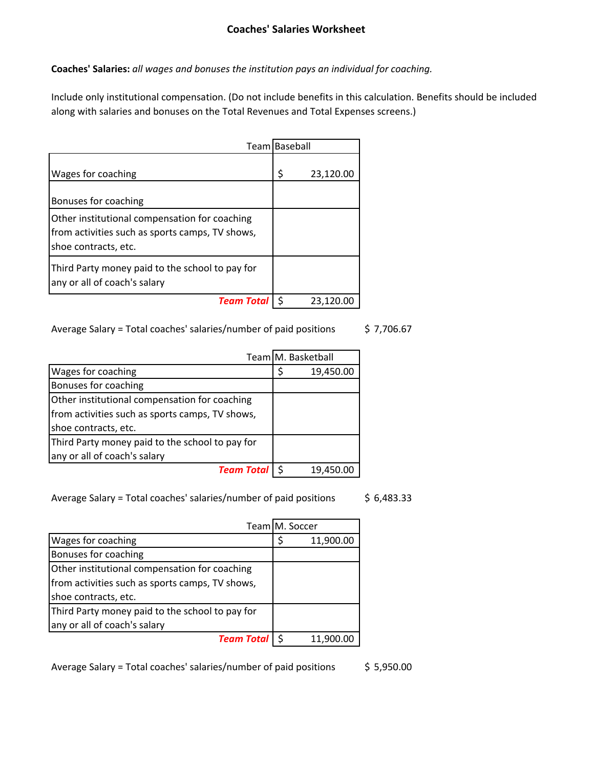**Coaches' Salaries:** *all wages and bonuses the institution pays an individual for coaching.*

Include only institutional compensation. (Do not include benefits in this calculation. Benefits should be included along with salaries and bonuses on the Total Revenues and Total Expenses screens.)

|                                                                                                                          | Team Baseball |           |  |
|--------------------------------------------------------------------------------------------------------------------------|---------------|-----------|--|
| Wages for coaching                                                                                                       | \$            | 23,120.00 |  |
| Bonuses for coaching                                                                                                     |               |           |  |
| Other institutional compensation for coaching<br>from activities such as sports camps, TV shows,<br>shoe contracts, etc. |               |           |  |
| Third Party money paid to the school to pay for<br>any or all of coach's salary                                          |               |           |  |
| <b>Team Tota</b>                                                                                                         |               | 23.120.00 |  |

Average Salary = Total coaches' salaries/number of paid positions  $\frac{1}{5}$  7,706.67

|                                                 | Team M. Basketball |
|-------------------------------------------------|--------------------|
| Wages for coaching                              | 19,450.00          |
| Bonuses for coaching                            |                    |
| Other institutional compensation for coaching   |                    |
| from activities such as sports camps, TV shows, |                    |
| shoe contracts, etc.                            |                    |
| Third Party money paid to the school to pay for |                    |
| any or all of coach's salary                    |                    |
| <b>Team Tota</b>                                | 19,450.0           |

Average Salary = Total coaches' salaries/number of paid positions  $\frac{5}{5}$  6,483.33

|                                                 | Team M. Soccer |
|-------------------------------------------------|----------------|
| <b>Wages for coaching</b>                       | 11,900.00      |
| Bonuses for coaching                            |                |
| Other institutional compensation for coaching   |                |
| from activities such as sports camps, TV shows, |                |
| shoe contracts, etc.                            |                |
| Third Party money paid to the school to pay for |                |
| any or all of coach's salary                    |                |
| <b>Team Tota</b>                                |                |

Average Salary = Total coaches' salaries/number of paid positions \$5,950.00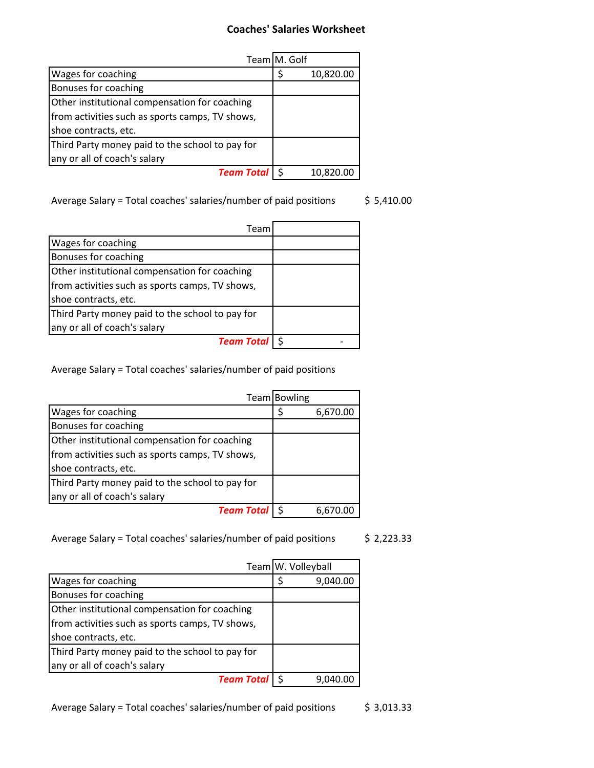#### **Coaches' Salaries Worksheet**

|                                                 | Team M. Golf |           |
|-------------------------------------------------|--------------|-----------|
| Wages for coaching                              |              | 10,820.00 |
| Bonuses for coaching                            |              |           |
| Other institutional compensation for coaching   |              |           |
| from activities such as sports camps, TV shows, |              |           |
| shoe contracts, etc.                            |              |           |
| Third Party money paid to the school to pay for |              |           |
| any or all of coach's salary                    |              |           |
| <b>Team Tota</b>                                |              | 10.820.0  |

Average Salary = Total coaches' salaries/number of paid positions \$5,410.00

| Team                                            |  |
|-------------------------------------------------|--|
| Wages for coaching                              |  |
| Bonuses for coaching                            |  |
| Other institutional compensation for coaching   |  |
| from activities such as sports camps, TV shows, |  |
| shoe contracts, etc.                            |  |
| Third Party money paid to the school to pay for |  |
| any or all of coach's salary                    |  |
| Team Tota                                       |  |

Average Salary = Total coaches' salaries/number of paid positions

|                                                 | <b>Team Bowling</b> |          |
|-------------------------------------------------|---------------------|----------|
| Wages for coaching                              |                     | 6,670.00 |
| Bonuses for coaching                            |                     |          |
| Other institutional compensation for coaching   |                     |          |
| from activities such as sports camps, TV shows, |                     |          |
| shoe contracts, etc.                            |                     |          |
| Third Party money paid to the school to pay for |                     |          |
| any or all of coach's salary                    |                     |          |
| <b>Team Total</b>                               |                     |          |

Average Salary = Total coaches' salaries/number of paid positions \$ 2,223.33

|                                                 |  | Team W. Volleyball |
|-------------------------------------------------|--|--------------------|
| Wages for coaching                              |  | 9,040.00           |
| Bonuses for coaching                            |  |                    |
| Other institutional compensation for coaching   |  |                    |
| from activities such as sports camps, TV shows, |  |                    |
| shoe contracts, etc.                            |  |                    |
| Third Party money paid to the school to pay for |  |                    |
| any or all of coach's salary                    |  |                    |
| <b>Team Tota</b>                                |  |                    |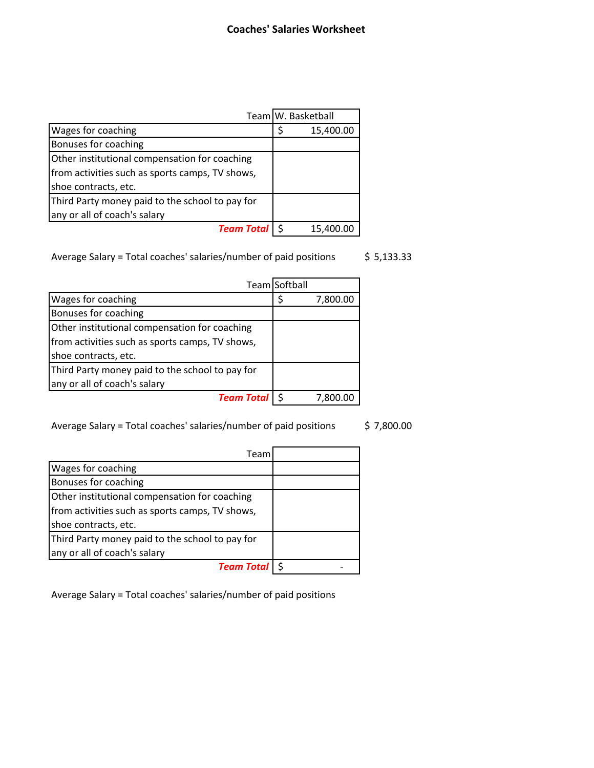|                                                 | Team W. Basketball |           |
|-------------------------------------------------|--------------------|-----------|
| Wages for coaching                              |                    | 15,400.00 |
| Bonuses for coaching                            |                    |           |
| Other institutional compensation for coaching   |                    |           |
| from activities such as sports camps, TV shows, |                    |           |
| shoe contracts, etc.                            |                    |           |
| Third Party money paid to the school to pay for |                    |           |
| any or all of coach's salary                    |                    |           |
| <b>Team Tota</b>                                |                    | 15,400.00 |

Average Salary = Total coaches' salaries/number of paid positions \$ 5,133.33

| Team Softball                                   |  |          |
|-------------------------------------------------|--|----------|
| Wages for coaching                              |  | 7,800.00 |
| Bonuses for coaching                            |  |          |
| Other institutional compensation for coaching   |  |          |
| from activities such as sports camps, TV shows, |  |          |
| shoe contracts, etc.                            |  |          |
| Third Party money paid to the school to pay for |  |          |
| any or all of coach's salary                    |  |          |
| <b>Team Tota</b>                                |  | 7.80     |

Average Salary = Total coaches' salaries/number of paid positions \$7,800.00

| Team                                            |  |
|-------------------------------------------------|--|
| Wages for coaching                              |  |
| Bonuses for coaching                            |  |
| Other institutional compensation for coaching   |  |
| from activities such as sports camps, TV shows, |  |
| shoe contracts, etc.                            |  |
| Third Party money paid to the school to pay for |  |
| any or all of coach's salary                    |  |
| <b>Team Tota</b>                                |  |

Average Salary = Total coaches' salaries/number of paid positions